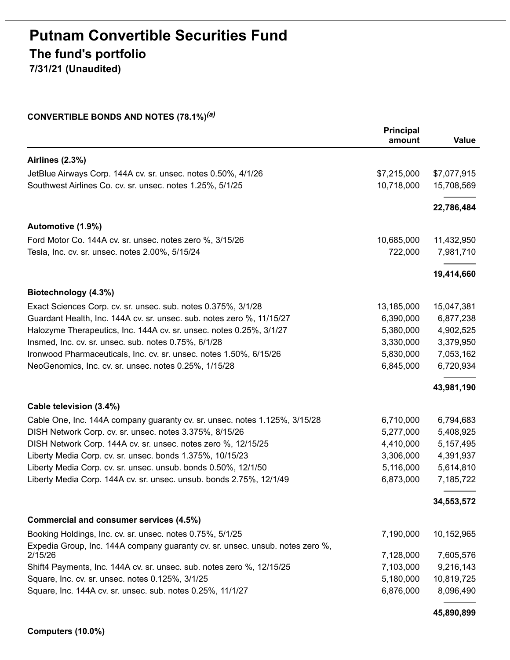# **Putnam Convertible Securities Fund The fund's portfolio**

**7/31/21 (Unaudited)**

# **CONVERTIBLE BONDS AND NOTES (78.1%)** *(a)*

|                                                                               | Principal<br>amount | Value       |
|-------------------------------------------------------------------------------|---------------------|-------------|
| <b>Airlines (2.3%)</b>                                                        |                     |             |
| JetBlue Airways Corp. 144A cv. sr. unsec. notes 0.50%, 4/1/26                 | \$7,215,000         | \$7,077,915 |
| Southwest Airlines Co. cv. sr. unsec. notes 1.25%, 5/1/25                     | 10,718,000          | 15,708,569  |
|                                                                               |                     | 22,786,484  |
| Automotive (1.9%)                                                             |                     |             |
| Ford Motor Co. 144A cv. sr. unsec. notes zero %, 3/15/26                      | 10,685,000          | 11,432,950  |
| Tesla, Inc. cv. sr. unsec. notes 2.00%, 5/15/24                               | 722,000             | 7,981,710   |
|                                                                               |                     | 19,414,660  |
| Biotechnology (4.3%)                                                          |                     |             |
| Exact Sciences Corp. cv. sr. unsec. sub. notes 0.375%, 3/1/28                 | 13,185,000          | 15,047,381  |
| Guardant Health, Inc. 144A cv. sr. unsec. sub. notes zero %, 11/15/27         | 6,390,000           | 6,877,238   |
| Halozyme Therapeutics, Inc. 144A cv. sr. unsec. notes 0.25%, 3/1/27           | 5,380,000           | 4,902,525   |
| Insmed, Inc. cv. sr. unsec. sub. notes 0.75%, 6/1/28                          | 3,330,000           | 3,379,950   |
| Ironwood Pharmaceuticals, Inc. cv. sr. unsec. notes 1.50%, 6/15/26            | 5,830,000           | 7,053,162   |
| NeoGenomics, Inc. cv. sr. unsec. notes 0.25%, 1/15/28                         | 6,845,000           | 6,720,934   |
|                                                                               |                     | 43,981,190  |
| Cable television (3.4%)                                                       |                     |             |
| Cable One, Inc. 144A company guaranty cv. sr. unsec. notes 1.125%, 3/15/28    | 6,710,000           | 6,794,683   |
| DISH Network Corp. cv. sr. unsec. notes 3.375%, 8/15/26                       | 5,277,000           | 5,408,925   |
| DISH Network Corp. 144A cv. sr. unsec. notes zero %, 12/15/25                 | 4,410,000           | 5, 157, 495 |
| Liberty Media Corp. cv. sr. unsec. bonds 1.375%, 10/15/23                     | 3,306,000           | 4,391,937   |
| Liberty Media Corp. cv. sr. unsec. unsub. bonds 0.50%, 12/1/50                | 5,116,000           | 5,614,810   |
| Liberty Media Corp. 144A cv. sr. unsec. unsub. bonds 2.75%, 12/1/49           | 6,873,000           | 7,185,722   |
|                                                                               |                     | 34,553,572  |
| Commercial and consumer services (4.5%)                                       |                     |             |
| Booking Holdings, Inc. cv. sr. unsec. notes 0.75%, 5/1/25                     | 7,190,000           | 10,152,965  |
| Expedia Group, Inc. 144A company guaranty cv. sr. unsec. unsub. notes zero %, |                     |             |
| 2/15/26                                                                       | 7,128,000           | 7,605,576   |
| Shift4 Payments, Inc. 144A cv. sr. unsec. sub. notes zero %, 12/15/25         | 7,103,000           | 9,216,143   |
| Square, Inc. cv. sr. unsec. notes 0.125%, 3/1/25                              | 5,180,000           | 10,819,725  |
| Square, Inc. 144A cv. sr. unsec. sub. notes 0.25%, 11/1/27                    | 6,876,000           | 8,096,490   |

**45,890,899**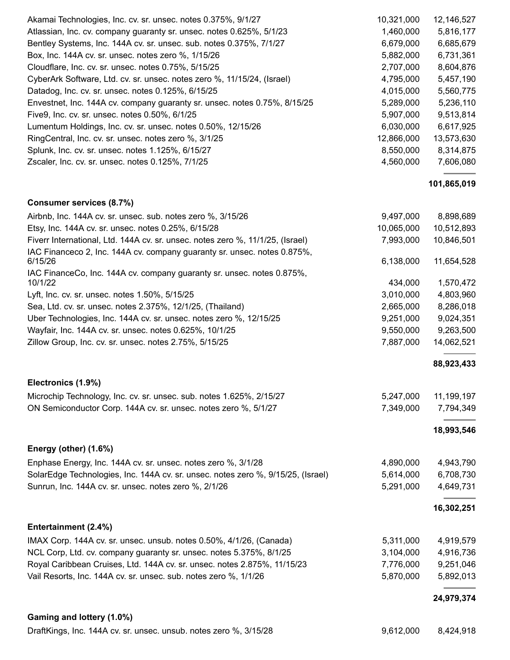| Akamai Technologies, Inc. cv. sr. unsec. notes 0.375%, 9/1/27             | 10,321,000 | 12,146,527 |
|---------------------------------------------------------------------------|------------|------------|
| Atlassian, Inc. cv. company guaranty sr. unsec. notes 0.625%, 5/1/23      | 1,460,000  | 5,816,177  |
| Bentley Systems, Inc. 144A cv. sr. unsec. sub. notes 0.375%, 7/1/27       | 6,679,000  | 6,685,679  |
| Box, Inc. 144A cv. sr. unsec. notes zero %, 1/15/26                       | 5,882,000  | 6,731,361  |
| Cloudflare, Inc. cv. sr. unsec. notes 0.75%, 5/15/25                      | 2,707,000  | 8,604,876  |
| CyberArk Software, Ltd. cv. sr. unsec. notes zero %, 11/15/24, (Israel)   | 4,795,000  | 5,457,190  |
| Datadog, Inc. cv. sr. unsec. notes 0.125%, 6/15/25                        | 4,015,000  | 5,560,775  |
| Envestnet, Inc. 144A cv. company guaranty sr. unsec. notes 0.75%, 8/15/25 | 5,289,000  | 5,236,110  |
| Five9, Inc. cv. sr. unsec. notes 0.50%, 6/1/25                            | 5,907,000  | 9,513,814  |
| Lumentum Holdings, Inc. cv. sr. unsec. notes 0.50%, 12/15/26              | 6,030,000  | 6,617,925  |
| RingCentral, Inc. cv. sr. unsec. notes zero %, 3/1/25                     | 12,866,000 | 13,573,630 |
| Splunk, Inc. cv. sr. unsec. notes 1.125%, 6/15/27                         | 8,550,000  | 8,314,875  |
| Zscaler, Inc. cv. sr. unsec. notes 0.125%, 7/1/25                         | 4,560,000  | 7,606,080  |
|                                                                           |            |            |

#### **101,865,019**

| Airbnb, Inc. 144A cv. sr. unsec. sub. notes zero %, 3/15/26                         | 9,497,000  | 8,898,689  |
|-------------------------------------------------------------------------------------|------------|------------|
| Etsy, Inc. 144A cv. sr. unsec. notes 0.25%, 6/15/28                                 | 10,065,000 | 10,512,893 |
| Fiverr International, Ltd. 144A cv. sr. unsec. notes zero %, 11/1/25, (Israel)      | 7,993,000  | 10,846,501 |
| IAC Financeco 2, Inc. 144A cv. company guaranty sr. unsec. notes 0.875%,<br>6/15/26 | 6,138,000  | 11,654,528 |
| IAC FinanceCo, Inc. 144A cv. company guaranty sr. unsec. notes 0.875%,<br>10/1/22   | 434,000    | 1,570,472  |
| Lyft, Inc. cv. sr. unsec. notes 1.50%, 5/15/25                                      | 3,010,000  | 4,803,960  |
| Sea, Ltd. cv. sr. unsec. notes 2.375%, 12/1/25, (Thailand)                          | 2,665,000  | 8,286,018  |
| Uber Technologies, Inc. 144A cv. sr. unsec. notes zero %, 12/15/25                  | 9,251,000  | 9,024,351  |
| Wayfair, Inc. 144A cv. sr. unsec. notes 0.625%, 10/1/25                             | 9,550,000  | 9,263,500  |
| Zillow Group, Inc. cv. sr. unsec. notes 2.75%, 5/15/25                              | 7,887,000  | 14,062,521 |
|                                                                                     |            | 88,923,433 |
| Electronics (1.9%)                                                                  |            |            |
| Microchip Technology, Inc. cv. sr. unsec. sub. notes 1.625%, 2/15/27                | 5,247,000  | 11,199,197 |
| ON Semiconductor Corp. 144A cv. sr. unsec. notes zero %, 5/1/27                     | 7,349,000  | 7,794,349  |

#### **18,993,546**

| Enphase Energy, Inc. 144A cv. sr. unsec. notes zero %, 3/1/28                    | 4.890.000 | 4.943.790 |
|----------------------------------------------------------------------------------|-----------|-----------|
| SolarEdge Technologies, Inc. 144A cv. sr. unsec. notes zero %, 9/15/25, (Israel) | 5.614.000 | 6.708.730 |
| Sunrun, Inc. 144A cv. sr. unsec. notes zero %, 2/1/26                            | 5,291,000 | 4.649.731 |

#### **16,302,251**

# **Entertainment (2.4%)** IMAX Corp. 144A cv. sr. unsec. unsub. notes 0.50%, 4/1/26, (Canada) 5,311,000 4,919,579 NCL Corp, Ltd. cv. company guaranty sr. unsec. notes 5.375%, 8/1/25 3,104,000 4,916,736 Royal Caribbean Cruises, Ltd. 144A cv. sr. unsec. notes 2.875%, 11/15/23 7,776,000 9,251,046 Vail Resorts, Inc. 144A cv. sr. unsec. sub. notes zero %, 1/1/26 5,870,000 5,892,013

# **24,979,374**

#### **Gaming and lottery (1.0%)**

**Energy (other) (1.6%)**

**Consumer services (8.7%)**

DraftKings, Inc. 144A cv. sr. unsec. unsub. notes zero %, 3/15/28 9,612,000 9,424,918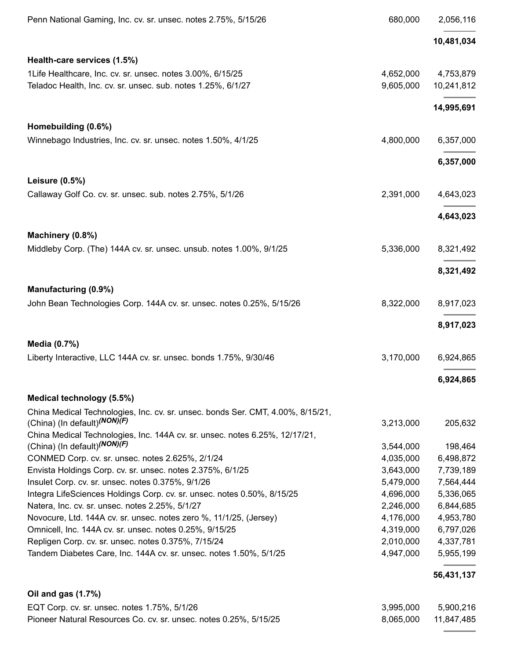| Penn National Gaming, Inc. cv. sr. unsec. notes 2.75%, 5/15/26                                                               | 680,000   | 2,056,116  |
|------------------------------------------------------------------------------------------------------------------------------|-----------|------------|
|                                                                                                                              |           | 10,481,034 |
| Health-care services (1.5%)                                                                                                  |           |            |
| 1Life Healthcare, Inc. cv. sr. unsec. notes 3.00%, 6/15/25                                                                   | 4,652,000 | 4,753,879  |
| Teladoc Health, Inc. cv. sr. unsec. sub. notes 1.25%, 6/1/27                                                                 | 9,605,000 | 10,241,812 |
|                                                                                                                              |           | 14,995,691 |
| Homebuilding (0.6%)                                                                                                          |           |            |
| Winnebago Industries, Inc. cv. sr. unsec. notes 1.50%, 4/1/25                                                                | 4,800,000 | 6,357,000  |
|                                                                                                                              |           | 6,357,000  |
| Leisure (0.5%)                                                                                                               |           |            |
| Callaway Golf Co. cv. sr. unsec. sub. notes 2.75%, 5/1/26                                                                    | 2,391,000 | 4,643,023  |
|                                                                                                                              |           | 4,643,023  |
| Machinery (0.8%)                                                                                                             |           |            |
| Middleby Corp. (The) 144A cv. sr. unsec. unsub. notes 1.00%, 9/1/25                                                          | 5,336,000 | 8,321,492  |
|                                                                                                                              |           | 8,321,492  |
| Manufacturing (0.9%)                                                                                                         |           |            |
| John Bean Technologies Corp. 144A cv. sr. unsec. notes 0.25%, 5/15/26                                                        | 8,322,000 | 8,917,023  |
|                                                                                                                              |           | 8,917,023  |
| Media (0.7%)                                                                                                                 |           |            |
| Liberty Interactive, LLC 144A cv. sr. unsec. bonds 1.75%, 9/30/46                                                            | 3,170,000 | 6,924,865  |
|                                                                                                                              |           | 6,924,865  |
| Medical technology (5.5%)                                                                                                    |           |            |
| China Medical Technologies, Inc. cv. sr. unsec. bonds Ser. CMT, 4.00%, 8/15/21,<br>(China) (In default) <sup>(NON)</sup> (F) | 3,213,000 | 205,632    |
| China Medical Technologies, Inc. 144A cv. sr. unsec. notes 6.25%, 12/17/21,                                                  |           |            |
| (China) (In default) <sup>(NON)</sup> (F)                                                                                    | 3,544,000 | 198,464    |
| CONMED Corp. cv. sr. unsec. notes 2.625%, 2/1/24                                                                             | 4,035,000 | 6,498,872  |
| Envista Holdings Corp. cv. sr. unsec. notes 2.375%, 6/1/25                                                                   | 3,643,000 | 7,739,189  |
| Insulet Corp. cv. sr. unsec. notes 0.375%, 9/1/26                                                                            | 5,479,000 | 7,564,444  |
| Integra LifeSciences Holdings Corp. cv. sr. unsec. notes 0.50%, 8/15/25                                                      | 4,696,000 | 5,336,065  |
| Natera, Inc. cv. sr. unsec. notes 2.25%, 5/1/27                                                                              | 2,246,000 | 6,844,685  |
| Novocure, Ltd. 144A cv. sr. unsec. notes zero %, 11/1/25, (Jersey)                                                           | 4,176,000 | 4,953,780  |
| Omnicell, Inc. 144A cv. sr. unsec. notes 0.25%, 9/15/25                                                                      | 4,319,000 | 6,797,026  |
| Repligen Corp. cv. sr. unsec. notes 0.375%, 7/15/24                                                                          | 2,010,000 | 4,337,781  |
| Tandem Diabetes Care, Inc. 144A cv. sr. unsec. notes 1.50%, 5/1/25                                                           | 4,947,000 | 5,955,199  |
|                                                                                                                              |           | 56,431,137 |
| Oil and gas (1.7%)                                                                                                           |           |            |
| EQT Corp. cv. sr. unsec. notes 1.75%, 5/1/26                                                                                 | 3,995,000 | 5,900,216  |
| Pioneer Natural Resources Co. cv. sr. unsec. notes 0.25%, 5/15/25                                                            | 8,065,000 | 11,847,485 |

÷.

L.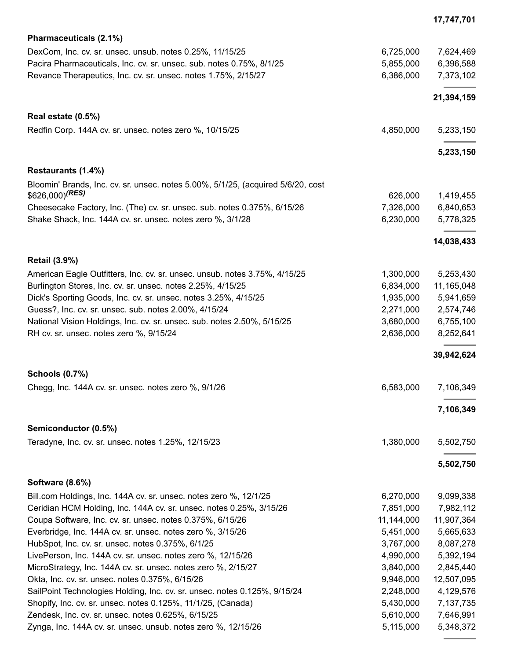|                                                                                                                                                                     | 17,747,701             |
|---------------------------------------------------------------------------------------------------------------------------------------------------------------------|------------------------|
| Pharmaceuticals (2.1%)                                                                                                                                              |                        |
| 6,725,000<br>DexCom, Inc. cv. sr. unsec. unsub. notes 0.25%, 11/15/25                                                                                               | 7,624,469              |
| Pacira Pharmaceuticals, Inc. cv. sr. unsec. sub. notes 0.75%, 8/1/25<br>5,855,000                                                                                   | 6,396,588              |
| 6,386,000<br>Revance Therapeutics, Inc. cv. sr. unsec. notes 1.75%, 2/15/27                                                                                         | 7,373,102              |
|                                                                                                                                                                     | 21,394,159             |
| Real estate (0.5%)                                                                                                                                                  |                        |
| Redfin Corp. 144A cv. sr. unsec. notes zero %, 10/15/25<br>4,850,000                                                                                                | 5,233,150              |
|                                                                                                                                                                     | 5,233,150              |
| Restaurants (1.4%)                                                                                                                                                  |                        |
| Bloomin' Brands, Inc. cv. sr. unsec. notes 5.00%, 5/1/25, (acquired 5/6/20, cost                                                                                    |                        |
| \$626,000) <sup>(RES)</sup><br>626,000                                                                                                                              | 1,419,455<br>6,840,653 |
| 7,326,000<br>Cheesecake Factory, Inc. (The) cv. sr. unsec. sub. notes 0.375%, 6/15/26<br>Shake Shack, Inc. 144A cv. sr. unsec. notes zero %, 3/1/28<br>6,230,000    | 5,778,325              |
|                                                                                                                                                                     |                        |
|                                                                                                                                                                     | 14,038,433             |
| <b>Retail (3.9%)</b>                                                                                                                                                |                        |
| 1,300,000<br>American Eagle Outfitters, Inc. cv. sr. unsec. unsub. notes 3.75%, 4/15/25                                                                             | 5,253,430              |
| 6,834,000<br>Burlington Stores, Inc. cv. sr. unsec. notes 2.25%, 4/15/25                                                                                            | 11,165,048             |
| Dick's Sporting Goods, Inc. cv. sr. unsec. notes 3.25%, 4/15/25<br>1,935,000<br>2,271,000                                                                           | 5,941,659              |
| Guess?, Inc. cv. sr. unsec. sub. notes 2.00%, 4/15/24<br>National Vision Holdings, Inc. cv. sr. unsec. sub. notes 2.50%, 5/15/25<br>3,680,000                       | 2,574,746<br>6,755,100 |
| 2,636,000<br>RH cv. sr. unsec. notes zero %, 9/15/24                                                                                                                | 8,252,641              |
|                                                                                                                                                                     |                        |
|                                                                                                                                                                     | 39,942,624             |
| <b>Schools (0.7%)</b>                                                                                                                                               |                        |
| Chegg, Inc. 144A cv. sr. unsec. notes zero %, 9/1/26<br>6,583,000                                                                                                   | 7,106,349              |
|                                                                                                                                                                     | 7,106,349              |
| Semiconductor (0.5%)                                                                                                                                                |                        |
| 1,380,000<br>Teradyne, Inc. cv. sr. unsec. notes 1.25%, 12/15/23                                                                                                    | 5,502,750              |
|                                                                                                                                                                     | 5,502,750              |
| <b>Software (8.6%)</b>                                                                                                                                              |                        |
| Bill.com Holdings, Inc. 144A cv. sr. unsec. notes zero %, 12/1/25<br>6,270,000                                                                                      | 9,099,338              |
| 7,851,000<br>Ceridian HCM Holding, Inc. 144A cv. sr. unsec. notes 0.25%, 3/15/26                                                                                    | 7,982,112              |
| 11,144,000<br>Coupa Software, Inc. cv. sr. unsec. notes 0.375%, 6/15/26                                                                                             | 11,907,364             |
| Everbridge, Inc. 144A cv. sr. unsec. notes zero %, 3/15/26<br>5,451,000                                                                                             | 5,665,633              |
| 3,767,000<br>HubSpot, Inc. cv. sr. unsec. notes 0.375%, 6/1/25                                                                                                      | 8,087,278              |
| 4,990,000<br>LivePerson, Inc. 144A cv. sr. unsec. notes zero %, 12/15/26                                                                                            | 5,392,194              |
| 3,840,000<br>MicroStrategy, Inc. 144A cv. sr. unsec. notes zero %, 2/15/27                                                                                          | 2,845,440              |
| 9,946,000<br>Okta, Inc. cv. sr. unsec. notes 0.375%, 6/15/26                                                                                                        | 12,507,095             |
| 2,248,000<br>SailPoint Technologies Holding, Inc. cv. sr. unsec. notes 0.125%, 9/15/24<br>Shopify, Inc. cv. sr. unsec. notes 0.125%, 11/1/25, (Canada)<br>5,430,000 | 4,129,576<br>7,137,735 |
| 5,610,000<br>Zendesk, Inc. cv. sr. unsec. notes 0.625%, 6/15/25                                                                                                     | 7,646,991              |
| Zynga, Inc. 144A cv. sr. unsec. unsub. notes zero %, 12/15/26<br>5,115,000                                                                                          | 5,348,372              |

 $\equiv$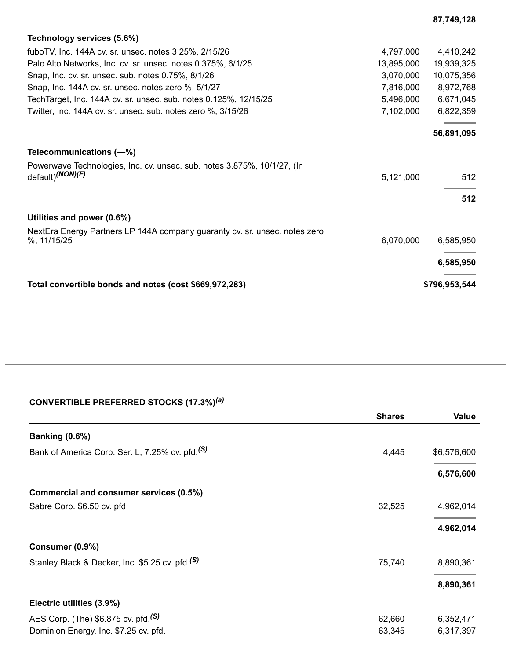| Technology services (5.6%)                                                 |            |               |
|----------------------------------------------------------------------------|------------|---------------|
| fuboTV, Inc. 144A cv. sr. unsec. notes 3.25%, 2/15/26                      | 4,797,000  | 4,410,242     |
| Palo Alto Networks, Inc. cv. sr. unsec. notes 0.375%, 6/1/25               | 13,895,000 | 19,939,325    |
| Snap, Inc. cv. sr. unsec. sub. notes 0.75%, 8/1/26                         | 3,070,000  | 10,075,356    |
| Snap, Inc. 144A cv. sr. unsec. notes zero %, 5/1/27                        | 7,816,000  | 8,972,768     |
| Tech Target, Inc. 144A cv. sr. unsec. sub. notes 0.125%, 12/15/25          | 5,496,000  | 6,671,045     |
| Twitter, Inc. 144A cv. sr. unsec. sub. notes zero %, 3/15/26               | 7,102,000  | 6,822,359     |
|                                                                            |            | 56,891,095    |
| Telecommunications (-%)                                                    |            |               |
| Powerwave Technologies, Inc. cv. unsec. sub. notes 3.875%, 10/1/27, (In    |            |               |
| default)(NON)(F)                                                           | 5,121,000  | 512           |
|                                                                            |            | 512           |
|                                                                            |            |               |
| Utilities and power (0.6%)                                                 |            |               |
| NextEra Energy Partners LP 144A company guaranty cv. sr. unsec. notes zero |            |               |
| %, 11/15/25                                                                | 6,070,000  | 6,585,950     |
|                                                                            |            | 6,585,950     |
| Total convertible bonds and notes (cost \$669,972,283)                     |            | \$796,953,544 |

**87,749,128**

# **CONVERTIBLE PREFERRED STOCKS (17.3%)** *(a)*

|                                                                                          | <b>Shares</b>    | <b>Value</b>           |
|------------------------------------------------------------------------------------------|------------------|------------------------|
| <b>Banking (0.6%)</b>                                                                    |                  |                        |
| Bank of America Corp. Ser. L, 7.25% cv. pfd. <sup>(S)</sup>                              | 4,445            | \$6,576,600            |
|                                                                                          |                  | 6,576,600              |
| Commercial and consumer services (0.5%)                                                  |                  |                        |
| Sabre Corp. \$6.50 cv. pfd.                                                              | 32,525           | 4,962,014              |
|                                                                                          |                  | 4,962,014              |
| Consumer (0.9%)                                                                          |                  |                        |
| Stanley Black & Decker, Inc. \$5.25 cv. pfd. <sup>(S)</sup>                              | 75,740           | 8,890,361              |
|                                                                                          |                  | 8,890,361              |
| Electric utilities (3.9%)                                                                |                  |                        |
| AES Corp. (The) \$6.875 cv. pfd. <sup>(S)</sup><br>Dominion Energy, Inc. \$7.25 cv. pfd. | 62,660<br>63,345 | 6,352,471<br>6,317,397 |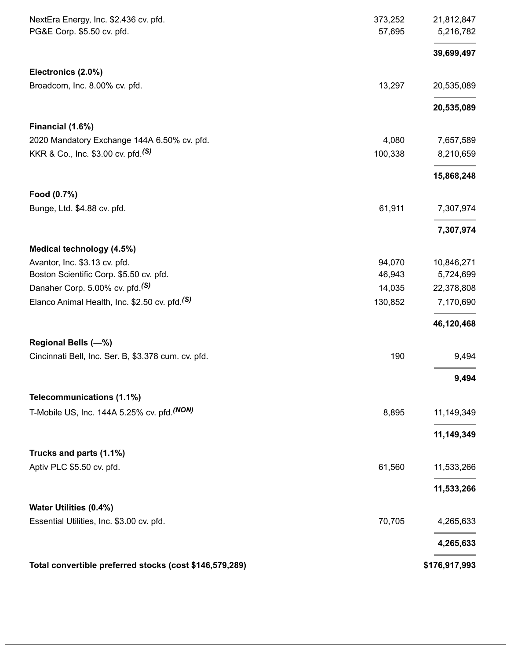| NextEra Energy, Inc. \$2.436 cv. pfd.<br>PG&E Corp. \$5.50 cv. pfd. | 373,252<br>57,695 | 21,812,847<br>5,216,782 |
|---------------------------------------------------------------------|-------------------|-------------------------|
|                                                                     |                   | 39,699,497              |
| Electronics (2.0%)                                                  |                   |                         |
| Broadcom, Inc. 8.00% cv. pfd.                                       | 13,297            | 20,535,089              |
|                                                                     |                   | 20,535,089              |
| Financial (1.6%)                                                    |                   |                         |
| 2020 Mandatory Exchange 144A 6.50% cv. pfd.                         | 4,080             | 7,657,589               |
| KKR & Co., Inc. \$3.00 cv. pfd. <sup>(S)</sup>                      | 100,338           | 8,210,659               |
|                                                                     |                   | 15,868,248              |
| Food (0.7%)                                                         |                   |                         |
| Bunge, Ltd. \$4.88 cv. pfd.                                         | 61,911            | 7,307,974               |
|                                                                     |                   | 7,307,974               |
| Medical technology (4.5%)                                           |                   |                         |
| Avantor, Inc. \$3.13 cv. pfd.                                       | 94,070            | 10,846,271              |
| Boston Scientific Corp. \$5.50 cv. pfd.                             | 46,943            | 5,724,699               |
| Danaher Corp. 5.00% cv. pfd. <sup>(S)</sup>                         | 14,035            | 22,378,808              |
| Elanco Animal Health, Inc. \$2.50 cv. pfd. <sup>(S)</sup>           | 130,852           | 7,170,690               |
|                                                                     |                   | 46,120,468              |
| Regional Bells (-%)                                                 |                   |                         |
| Cincinnati Bell, Inc. Ser. B, \$3.378 cum. cv. pfd.                 | 190               | 9,494                   |
|                                                                     |                   | 9,494                   |
| Telecommunications (1.1%)                                           |                   |                         |
| T-Mobile US, Inc. 144A 5.25% cv. pfd. (NON)                         | 8,895             | 11,149,349              |
|                                                                     |                   | 11,149,349              |
| Trucks and parts (1.1%)                                             |                   |                         |
| Aptiv PLC \$5.50 cv. pfd.                                           | 61,560            | 11,533,266              |
|                                                                     |                   | 11,533,266              |
| Water Utilities (0.4%)                                              |                   |                         |
| Essential Utilities, Inc. \$3.00 cv. pfd.                           | 70,705            | 4,265,633               |
|                                                                     |                   | 4,265,633               |
| Total convertible preferred stocks (cost \$146,579,289)             |                   | \$176,917,993           |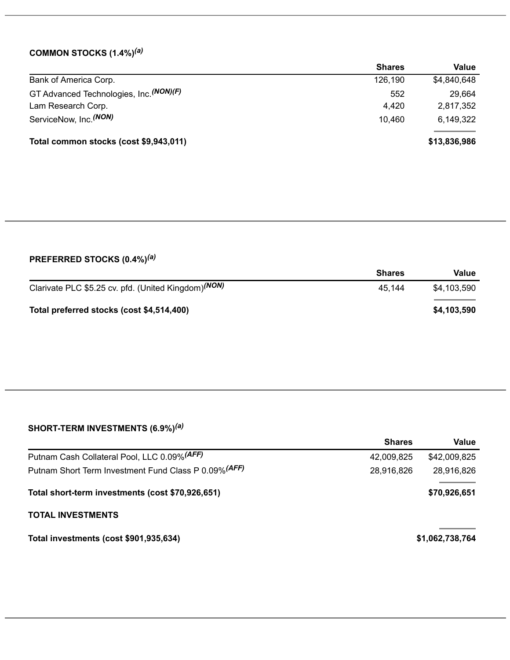# **COMMON STOCKS (1.4%)** *(a)*

|                                          | <b>Shares</b> | Value        |
|------------------------------------------|---------------|--------------|
| Bank of America Corp.                    | 126,190       | \$4,840,648  |
| GT Advanced Technologies, Inc. (NON) (F) | 552           | 29,664       |
| Lam Research Corp.                       | 4,420         | 2,817,352    |
| ServiceNow, Inc. <sup>(NON)</sup>        | 10.460        | 6,149,322    |
| Total common stocks (cost \$9,943,011)   |               | \$13,836,986 |

# **PREFERRED STOCKS (0.4%)** *(a)*

|                                                                 | <b>Shares</b> | Value       |
|-----------------------------------------------------------------|---------------|-------------|
| Clarivate PLC \$5.25 cv. pfd. (United Kingdom) <sup>(NON)</sup> | 45.144        | \$4,103,590 |
| Total preferred stocks (cost \$4,514,400)                       |               | \$4,103,590 |

### **SHORT-TERM INVESTMENTS (6.9%)** *(a)*

|                                                       | <b>Shares</b> | Value           |
|-------------------------------------------------------|---------------|-----------------|
| Putnam Cash Collateral Pool, LLC 0.09% (AFF)          | 42,009,825    | \$42,009,825    |
| Putnam Short Term Investment Fund Class P 0.09% (AFF) | 28,916,826    | 28,916,826      |
| Total short-term investments (cost \$70,926,651)      |               | \$70,926,651    |
| <b>TOTAL INVESTMENTS</b>                              |               |                 |
| Total investments (cost \$901,935,634)                |               | \$1,062,738,764 |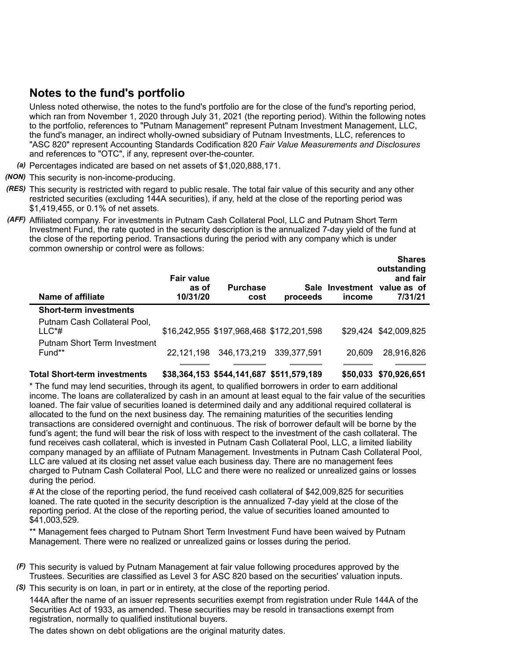# **Notes to the fund's portfolio**

Unless noted otherwise, the notes to the fund's portfolio are for the close of the fund's reporting period, which ran from November 1, 2020 through July 31, 2021 (the reporting period). Within the following notes to the portfolio, references to "Putnam Management" represent Putnam Investment Management, LLC, the fund's manager, an indirect wholly-owned subsidiary of Putnam Investments, LLC, references to "ASC 820" represent Accounting Standards Codification 820 *Fair Value Measurements and Disclosures* and references to "OTC", if any, represent over-the-counter.

- *(a)* Percentages indicated are based on net assets of \$1,020,888,171.
- *(NON)* This security is non-income-producing.
- *(RES)* This security is restricted with regard to public resale. The total fair value of this security and any other restricted securities (excluding 144A securities), if any, held at the close of the reporting period was \$1,419,455, or 0.1% of net assets.
- *(AFF)* Affiliated company. For investments in Putnam Cash Collateral Pool, LLC and Putnam Short Term Investment Fund, the rate quoted in the security description is the annualized 7-day yield of the fund at the close of the reporting period. Transactions during the period with any company which is under common ownership or control were as follows:

| Name of affiliate                               | <b>Fair value</b><br>as of<br>10/31/20 | <b>Purchase</b><br>cost                  | proceeds    | income | <b>Shares</b><br>outstanding<br>and fair<br>Sale Investment value as of<br>7/31/21 |
|-------------------------------------------------|----------------------------------------|------------------------------------------|-------------|--------|------------------------------------------------------------------------------------|
| <b>Short-term investments</b>                   |                                        |                                          |             |        |                                                                                    |
| Putnam Cash Collateral Pool,<br>$LL C^*#$       |                                        | \$16,242,955 \$197,968,468 \$172,201,598 |             |        | \$29,424 \$42,009,825                                                              |
| <b>Putnam Short Term Investment</b><br>$Fund**$ | 22.121.198                             | 346,173,219                              | 339.377.591 | 20,609 | 28,916,826                                                                         |
|                                                 |                                        |                                          |             |        |                                                                                    |

**Total Short-term investments \$38,364,153 \$544,141,687 \$511,579,189 \$50,033 \$70,926,651**

\* The fund may lend securities, through its agent, to qualified borrowers in order to earn additional income. The loans are collateralized by cash in an amount at least equal to the fair value of the securities loaned. The fair value of securities loaned is determined daily and any additional required collateral is allocated to the fund on the next business day. The remaining maturities of the securities lending transactions are considered overnight and continuous. The risk of borrower default will be borne by the fund's agent; the fund will bear the risk of loss with respect to the investment of the cash collateral. The fund receives cash collateral, which is invested in Putnam Cash Collateral Pool, LLC, a limited liability company managed by an affiliate of Putnam Management. Investments in Putnam Cash Collateral Pool, LLC are valued at its closing net asset value each business day. There are no management fees charged to Putnam Cash Collateral Pool, LLC and there were no realized or unrealized gains or losses during the period.

# At the close of the reporting period, the fund received cash collateral of \$42,009,825 for securities loaned. The rate quoted in the security description is the annualized 7-day yield at the close of the reporting period. At the close of the reporting period, the value of securities loaned amounted to \$41,003,529.

\*\* Management fees charged to Putnam Short Term Investment Fund have been waived by Putnam Management. There were no realized or unrealized gains or losses during the period.

- *(F)* This security is valued by Putnam Management at fair value following procedures approved by the Trustees. Securities are classified as Level 3 for ASC 820 based on the securities' valuation inputs.
- *(S)* This security is on loan, in part or in entirety, at the close of the reporting period.

144A after the name of an issuer represents securities exempt from registration under Rule 144A of the Securities Act of 1933, as amended. These securities may be resold in transactions exempt from registration, normally to qualified institutional buyers.

The dates shown on debt obligations are the original maturity dates.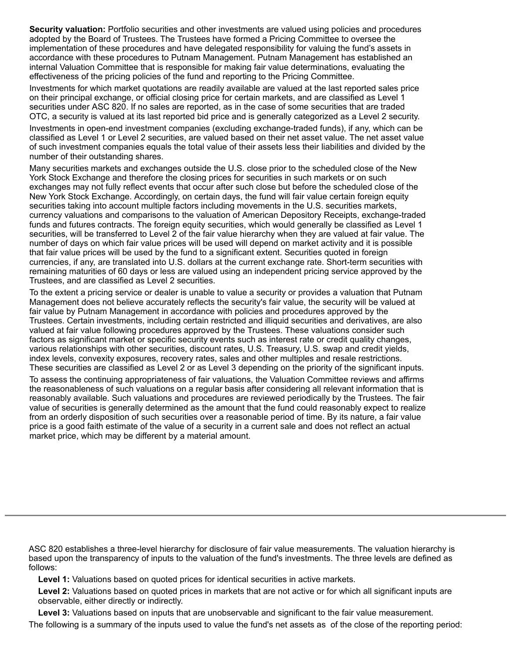**Security valuation:** Portfolio securities and other investments are valued using policies and procedures adopted by the Board of Trustees. The Trustees have formed a Pricing Committee to oversee the implementation of these procedures and have delegated responsibility for valuing the fund's assets in accordance with these procedures to Putnam Management. Putnam Management has established an internal Valuation Committee that is responsible for making fair value determinations, evaluating the effectiveness of the pricing policies of the fund and reporting to the Pricing Committee.

Investments for which market quotations are readily available are valued at the last reported sales price on their principal exchange, or official closing price for certain markets, and are classified as Level 1 securities under ASC 820. If no sales are reported, as in the case of some securities that are traded OTC, a security is valued at its last reported bid price and is generally categorized as a Level 2 security.

Investments in open-end investment companies (excluding exchange-traded funds), if any, which can be classified as Level 1 or Level 2 securities, are valued based on their net asset value. The net asset value of such investment companies equals the total value of their assets less their liabilities and divided by the number of their outstanding shares.

Many securities markets and exchanges outside the U.S. close prior to the scheduled close of the New York Stock Exchange and therefore the closing prices for securities in such markets or on such exchanges may not fully reflect events that occur after such close but before the scheduled close of the New York Stock Exchange. Accordingly, on certain days, the fund will fair value certain foreign equity securities taking into account multiple factors including movements in the U.S. securities markets, currency valuations and comparisons to the valuation of American Depository Receipts, exchange-traded funds and futures contracts. The foreign equity securities, which would generally be classified as Level 1 securities, will be transferred to Level 2 of the fair value hierarchy when they are valued at fair value. The number of days on which fair value prices will be used will depend on market activity and it is possible that fair value prices will be used by the fund to a significant extent. Securities quoted in foreign currencies, if any, are translated into U.S. dollars at the current exchange rate. Short-term securities with remaining maturities of 60 days or less are valued using an independent pricing service approved by the Trustees, and are classified as Level 2 securities.

To the extent a pricing service or dealer is unable to value a security or provides a valuation that Putnam Management does not believe accurately reflects the security's fair value, the security will be valued at fair value by Putnam Management in accordance with policies and procedures approved by the Trustees. Certain investments, including certain restricted and illiquid securities and derivatives, are also valued at fair value following procedures approved by the Trustees. These valuations consider such factors as significant market or specific security events such as interest rate or credit quality changes, various relationships with other securities, discount rates, U.S. Treasury, U.S. swap and credit yields, index levels, convexity exposures, recovery rates, sales and other multiples and resale restrictions. These securities are classified as Level 2 or as Level 3 depending on the priority of the significant inputs.

To assess the continuing appropriateness of fair valuations, the Valuation Committee reviews and affirms the reasonableness of such valuations on a regular basis after considering all relevant information that is reasonably available. Such valuations and procedures are reviewed periodically by the Trustees. The fair value of securities is generally determined as the amount that the fund could reasonably expect to realize from an orderly disposition of such securities over a reasonable period of time. By its nature, a fair value price is a good faith estimate of the value of a security in a current sale and does not reflect an actual market price, which may be different by a material amount.

ASC 820 establishes a three-level hierarchy for disclosure of fair value measurements. The valuation hierarchy is based upon the transparency of inputs to the valuation of the fund's investments. The three levels are defined as follows:

**Level 1:** Valuations based on quoted prices for identical securities in active markets.

**Level 2:** Valuations based on quoted prices in markets that are not active or for which all significant inputs are observable, either directly or indirectly.

**Level 3:** Valuations based on inputs that are unobservable and significant to the fair value measurement. The following is a summary of the inputs used to value the fund's net assets as of the close of the reporting period: